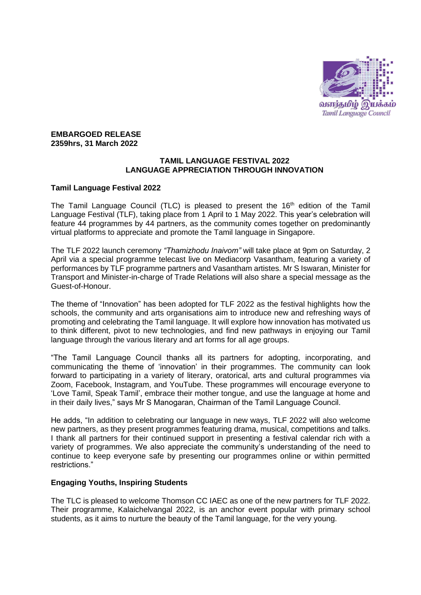

## **EMBARGOED RELEASE 2359hrs, 31 March 2022**

## **TAMIL LANGUAGE FESTIVAL 2022 LANGUAGE APPRECIATION THROUGH INNOVATION**

# **Tamil Language Festival 2022**

The Tamil Language Council (TLC) is pleased to present the  $16<sup>th</sup>$  edition of the Tamil Language Festival (TLF), taking place from 1 April to 1 May 2022. This year's celebration will feature 44 programmes by 44 partners, as the community comes together on predominantly virtual platforms to appreciate and promote the Tamil language in Singapore.

The TLF 2022 launch ceremony *"Thamizhodu Inaivom"* will take place at 9pm on Saturday, 2 April via a special programme telecast live on Mediacorp Vasantham, featuring a variety of performances by TLF programme partners and Vasantham artistes. Mr S Iswaran, Minister for Transport and Minister-in-charge of Trade Relations will also share a special message as the Guest-of-Honour.

The theme of "Innovation" has been adopted for TLF 2022 as the festival highlights how the schools, the community and arts organisations aim to introduce new and refreshing ways of promoting and celebrating the Tamil language. It will explore how innovation has motivated us to think different, pivot to new technologies, and find new pathways in enjoying our Tamil language through the various literary and art forms for all age groups.

"The Tamil Language Council thanks all its partners for adopting, incorporating, and communicating the theme of 'innovation' in their programmes. The community can look forward to participating in a variety of literary, oratorical, arts and cultural programmes via Zoom, Facebook, Instagram, and YouTube. These programmes will encourage everyone to 'Love Tamil, Speak Tamil', embrace their mother tongue, and use the language at home and in their daily lives," says Mr S Manogaran, Chairman of the Tamil Language Council.

He adds, "In addition to celebrating our language in new ways, TLF 2022 will also welcome new partners, as they present programmes featuring drama, musical, competitions and talks. I thank all partners for their continued support in presenting a festival calendar rich with a variety of programmes. We also appreciate the community's understanding of the need to continue to keep everyone safe by presenting our programmes online or within permitted restrictions."

# **Engaging Youths, Inspiring Students**

The TLC is pleased to welcome Thomson CC IAEC as one of the new partners for TLF 2022. Their programme, Kalaichelvangal 2022, is an anchor event popular with primary school students, as it aims to nurture the beauty of the Tamil language, for the very young.